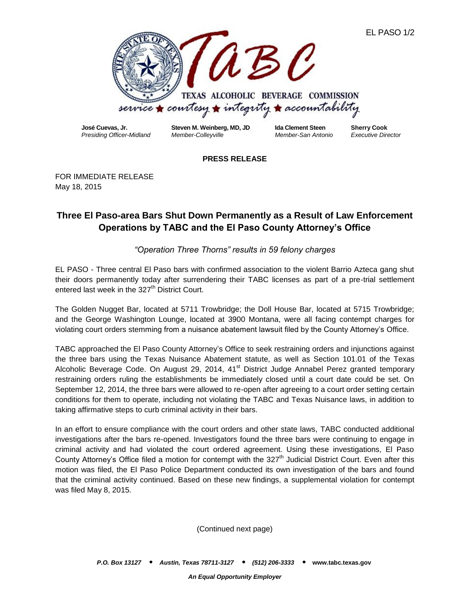

**José Cuevas, Jr.** *Presiding Officer-Midland*

**Steven M. Weinberg, MD, JD** *Member-Colleyville*

**Ida Clement Steen** *Member-San Antonio* **Sherry Cook** *Executive Director*

**PRESS RELEASE**

FOR IMMEDIATE RELEASE May 18, 2015

## **Three El Paso-area Bars Shut Down Permanently as a Result of Law Enforcement Operations by TABC and the El Paso County Attorney's Office**

*"Operation Three Thorns" results in 59 felony charges*

EL PASO - Three central El Paso bars with confirmed association to the violent Barrio Azteca gang shut their doors permanently today after surrendering their TABC licenses as part of a pre-trial settlement entered last week in the  $327<sup>th</sup>$  District Court.

The Golden Nugget Bar, located at 5711 Trowbridge; the Doll House Bar, located at 5715 Trowbridge; and the George Washington Lounge, located at 3900 Montana, were all facing contempt charges for violating court orders stemming from a nuisance abatement lawsuit filed by the County Attorney's Office.

TABC approached the El Paso County Attorney's Office to seek restraining orders and injunctions against the three bars using the Texas Nuisance Abatement statute, as well as Section 101.01 of the Texas Alcoholic Beverage Code. On August 29, 2014, 41<sup>st</sup> District Judge Annabel Perez granted temporary restraining orders ruling the establishments be immediately closed until a court date could be set. On September 12, 2014, the three bars were allowed to re-open after agreeing to a court order setting certain conditions for them to operate, including not violating the TABC and Texas Nuisance laws, in addition to taking affirmative steps to curb criminal activity in their bars.

In an effort to ensure compliance with the court orders and other state laws, TABC conducted additional investigations after the bars re-opened. Investigators found the three bars were continuing to engage in criminal activity and had violated the court ordered agreement. Using these investigations, El Paso County Attorney's Office filed a motion for contempt with the 327<sup>th</sup> Judicial District Court. Even after this motion was filed, the El Paso Police Department conducted its own investigation of the bars and found that the criminal activity continued. Based on these new findings, a supplemental violation for contempt was filed May 8, 2015.

(Continued next page)

## *An Equal Opportunity Employer*